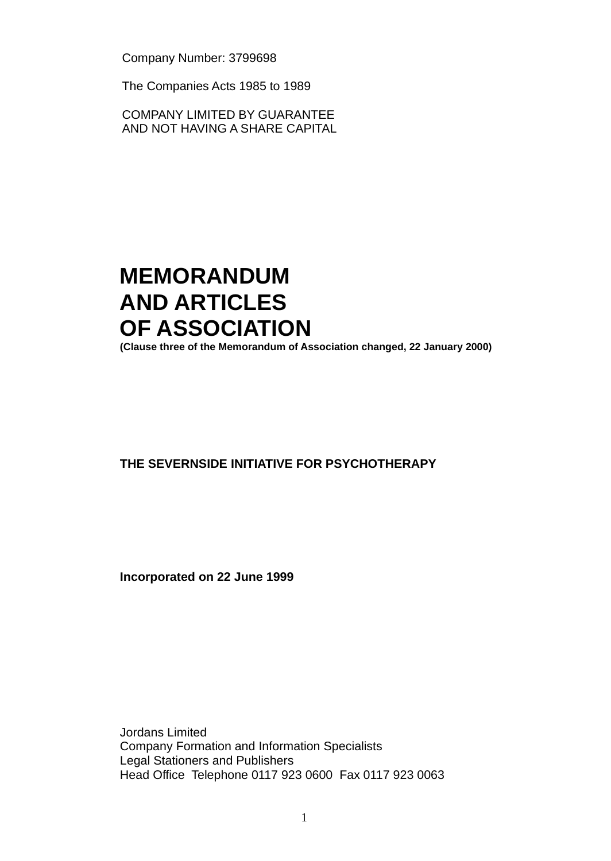Company Number: 3799698

The Companies Acts 1985 to 1989

COMPANY LIMITED BY GUARANTEE AND NOT HAVING A SHARE CAPITAL

# **MEMORANDUM AND ARTICLES OF ASSOCIATION**

**(Clause three of the Memorandum of Association changed, 22 January 2000)**

#### **THE SEVERNSIDE INITIATIVE FOR PSYCHOTHERAPY**

**Incorporated on 22 June 1999**

Jordans Limited Company Formation and Information Specialists Legal Stationers and Publishers Head Office Telephone 0117 923 0600 Fax 0117 923 0063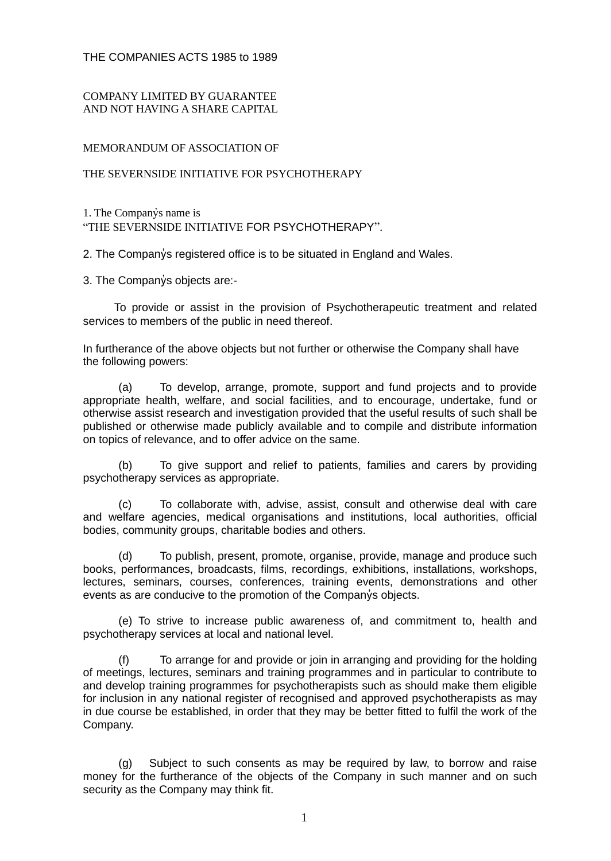#### THE COMPANIES ACTS 1985 to 1989

#### COMPANY LIMITED BY GUARANTEE AND NOT HAVING A SHARE CAPITAL

#### MEMORANDUM OF ASSOCIATION OF

#### THE SEVERNSIDE INITIATIVE FOR PSYCHOTHERAPY

1. The Company̓s name is "THE SEVERNSIDE INITIATIVE FOR PSYCHOTHERAPY".

2. The Company's registered office is to be situated in England and Wales.

3. The Company's objects are:-

To provide or assist in the provision of Psychotherapeutic treatment and related services to members of the public in need thereof.

In furtherance of the above objects but not further or otherwise the Company shall have the following powers:

(a) To develop, arrange, promote, support and fund projects and to provide appropriate health, welfare, and social facilities, and to encourage, undertake, fund or otherwise assist research and investigation provided that the useful results of such shall be published or otherwise made publicly available and to compile and distribute information on topics of relevance, and to offer advice on the same.

(b) To give support and relief to patients, families and carers by providing psychotherapy services as appropriate.

(c) To collaborate with, advise, assist, consult and otherwise deal with care and welfare agencies, medical organisations and institutions, local authorities, official bodies, community groups, charitable bodies and others.

(d) To publish, present, promote, organise, provide, manage and produce such books, performances, broadcasts, films, recordings, exhibitions, installations, workshops, lectures, seminars, courses, conferences, training events, demonstrations and other events as are conducive to the promotion of the Company's objects.

(e) To strive to increase public awareness of, and commitment to, health and psychotherapy services at local and national level.

To arrange for and provide or join in arranging and providing for the holding of meetings, lectures, seminars and training programmes and in particular to contribute to and develop training programmes for psychotherapists such as should make them eligible for inclusion in any national register of recognised and approved psychotherapists as may in due course be established, in order that they may be better fitted to fulfil the work of the Company.

(g) Subject to such consents as may be required by law, to borrow and raise money for the furtherance of the objects of the Company in such manner and on such security as the Company may think fit.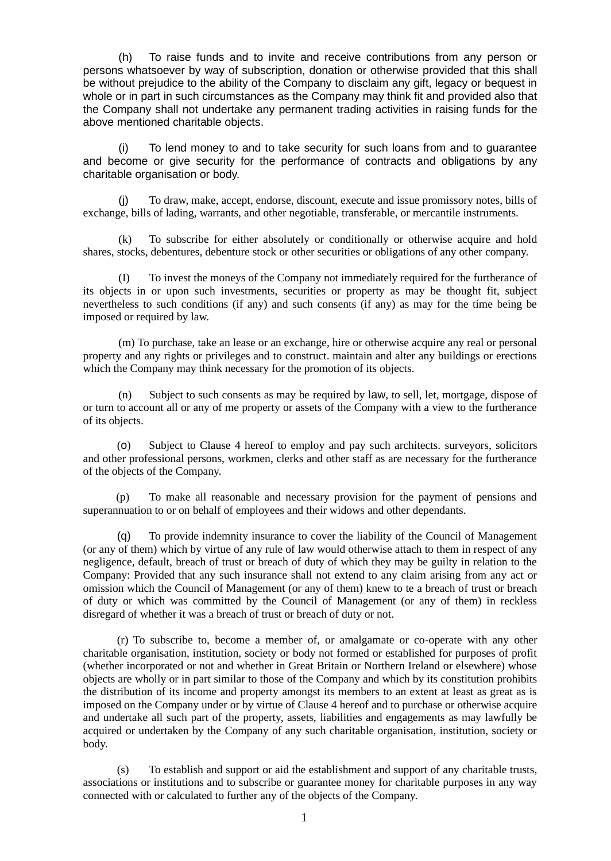(h) To raise funds and to invite and receive contributions from any person or persons whatsoever by way of subscription, donation or otherwise provided that this shall be without prejudice to the ability of the Company to disclaim any gift, legacy or bequest in whole or in part in such circumstances as the Company may think fit and provided also that the Company shall not undertake any permanent trading activities in raising funds for the above mentioned charitable objects.

(i) To lend money to and to take security for such loans from and to guarantee and become or give security for the performance of contracts and obligations by any charitable organisation or body.

To draw, make, accept, endorse, discount, execute and issue promissory notes, bills of exchange, bills of lading, warrants, and other negotiable, transferable, or mercantile instruments.

(k) To subscribe for either absolutely or conditionally or otherwise acquire and hold shares, stocks, debentures, debenture stock or other securities or obligations of any other company.

(I) To invest the moneys of the Company not immediately required for the furtherance of its objects in or upon such investments, securities or property as may be thought fit, subject nevertheless to such conditions (if any) and such consents (if any) as may for the time being be imposed or required by law.

(m) To purchase, take an lease or an exchange, hire or otherwise acquire any real or personal property and any rights or privileges and to construct. maintain and alter any buildings or erections which the Company may think necessary for the promotion of its objects.

(n) Subject to such consents as may be required by law, to sell, let, mortgage, dispose of or turn to account all or any of me property or assets of the Company with a view to the furtherance of its objects.

(o) Subject to Clause 4 hereof to employ and pay such architects. surveyors, solicitors and other professional persons, workmen, clerks and other staff as are necessary for the furtherance of the objects of the Company.

(p) To make all reasonable and necessary provision for the payment of pensions and superannuation to or on behalf of employees and their widows and other dependants.

(q) To provide indemnity insurance to cover the liability of the Council of Management (or any of them) which by virtue of any rule of law would otherwise attach to them in respect of any negligence, default, breach of trust or breach of duty of which they may be guilty in relation to the Company: Provided that any such insurance shall not extend to any claim arising from any act or omission which the Council of Management (or any of them) knew to te a breach of trust or breach of duty or which was committed by the Council of Management (or any of them) in reckless disregard of whether it was a breach of trust or breach of duty or not.

(r) To subscribe to, become a member of, or amalgamate or co-operate with any other charitable organisation, institution, society or body not formed or established for purposes of profit (whether incorporated or not and whether in Great Britain or Northern Ireland or elsewhere) whose objects are wholly or in part similar to those of the Company and which by its constitution prohibits the distribution of its income and property amongst its members to an extent at least as great as is imposed on the Company under or by virtue of Clause 4 hereof and to purchase or otherwise acquire and undertake all such part of the property, assets, liabilities and engagements as may lawfully be acquired or undertaken by the Company of any such charitable organisation, institution, society or body.

(s) To establish and support or aid the establishment and support of any charitable trusts, associations or institutions and to subscribe or guarantee money for charitable purposes in any way connected with or calculated to further any of the objects of the Company.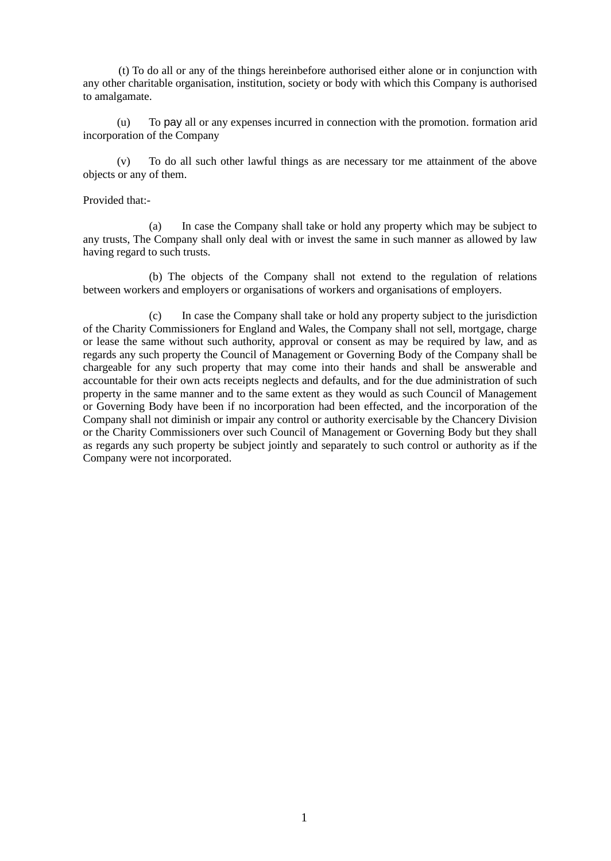(t) To do all or any of the things hereinbefore authorised either alone or in conjunction with any other charitable organisation, institution, society or body with which this Company is authorised to amalgamate.

(u) To pay all or any expenses incurred in connection with the promotion. formation arid incorporation of the Company

(v) To do all such other lawful things as are necessary tor me attainment of the above objects or any of them.

#### Provided that:-

(a) In case the Company shall take or hold any property which may be subject to any trusts, The Company shall only deal with or invest the same in such manner as allowed by law having regard to such trusts.

(b) The objects of the Company shall not extend to the regulation of relations between workers and employers or organisations of workers and organisations of employers.

(c) In case the Company shall take or hold any property subject to the jurisdiction of the Charity Commissioners for England and Wales, the Company shall not sell, mortgage, charge or lease the same without such authority, approval or consent as may be required by law, and as regards any such property the Council of Management or Governing Body of the Company shall be chargeable for any such property that may come into their hands and shall be answerable and accountable for their own acts receipts neglects and defaults, and for the due administration of such property in the same manner and to the same extent as they would as such Council of Management or Governing Body have been if no incorporation had been effected, and the incorporation of the Company shall not diminish or impair any control or authority exercisable by the Chancery Division or the Charity Commissioners over such Council of Management or Governing Body but they shall as regards any such property be subject jointly and separately to such control or authority as if the Company were not incorporated.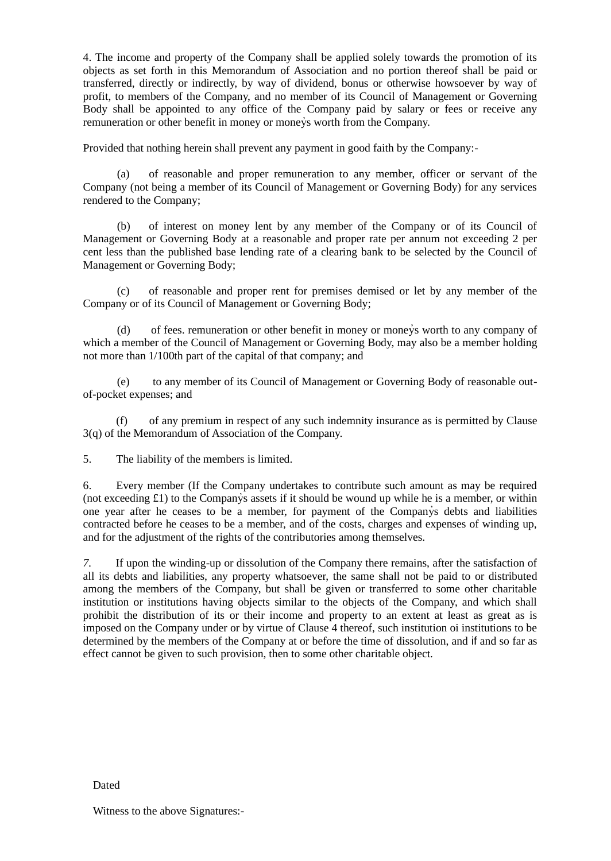4. The income and property of the Company shall be applied solely towards the promotion of its objects as set forth in this Memorandum of Association and no portion thereof shall be paid or transferred, directly or indirectly, by way of dividend, bonus or otherwise howsoever by way of profit, to members of the Company, and no member of its Council of Management or Governing Body shall be appointed to any office of the Company paid by salary or fees or receive any remuneration or other benefit in money or money̓s worth from the Company.

Provided that nothing herein shall prevent any payment in good faith by the Company:-

(a) of reasonable and proper remuneration to any member, officer or servant of the Company (not being a member of its Council of Management or Governing Body) for any services rendered to the Company;

(b) of interest on money lent by any member of the Company or of its Council of Management or Governing Body at a reasonable and proper rate per annum not exceeding 2 per cent less than the published base lending rate of a clearing bank to be selected by the Council of Management or Governing Body;

(c) of reasonable and proper rent for premises demised or let by any member of the Company or of its Council of Management or Governing Body;

(d) of fees. remuneration or other benefit in money or money̓s worth to any company of which a member of the Council of Management or Governing Body, may also be a member holding not more than 1/100th part of the capital of that company; and

(e) to any member of its Council of Management or Governing Body of reasonable outof-pocket expenses; and

(f) of any premium in respect of any such indemnity insurance as is permitted by Clause 3(q) of the Memorandum of Association of the Company.

5. The liability of the members is limited.

6. Every member (If the Company undertakes to contribute such amount as may be required (not exceeding  $£1$ ) to the Companys assets if it should be wound up while he is a member, or within one year after he ceases to be a member, for payment of the Company̓s debts and liabilities contracted before he ceases to be a member, and of the costs, charges and expenses of winding up, and for the adjustment of the rights of the contributories among themselves.

*7.* If upon the winding-up or dissolution of the Company there remains, after the satisfaction of all its debts and liabilities, any property whatsoever, the same shall not be paid to or distributed among the members of the Company, but shall be given or transferred to some other charitable institution or institutions having objects similar to the objects of the Company, and which shall prohibit the distribution of its or their income and property to an extent at least as great as is imposed on the Company under or by virtue of Clause 4 thereof, such institution oi institutions to be determined by the members of the Company at or before the time of dissolution, and if and so far as effect cannot be given to such provision, then to some other charitable object.

Dated

Witness to the above Signatures:-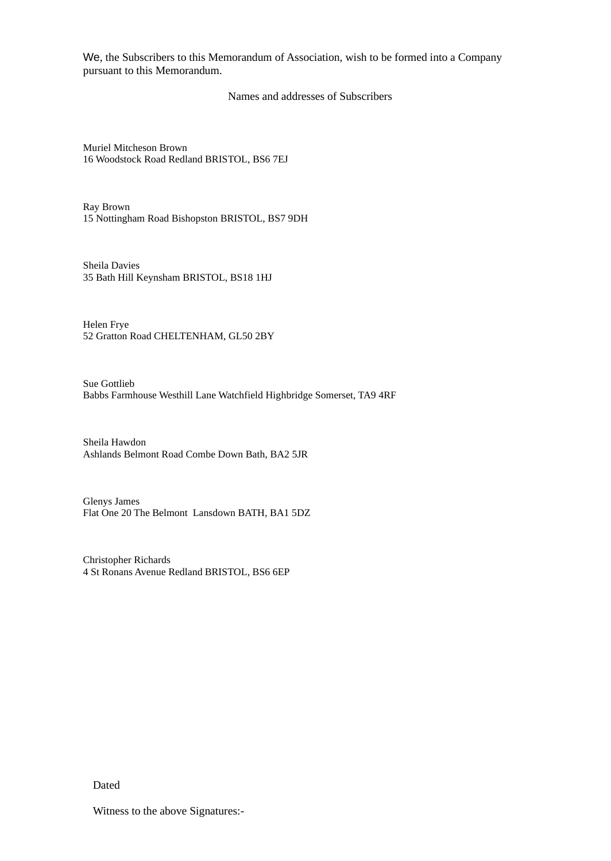We, the Subscribers to this Memorandum of Association, wish to be formed into a Company pursuant to this Memorandum.

Names and addresses of Subscribers

Muriel Mitcheson Brown 16 Woodstock Road Redland BRISTOL, BS6 7EJ

Ray Brown 15 Nottingham Road Bishopston BRISTOL, BS7 9DH

Sheila Davies 35 Bath Hill Keynsham BRISTOL, BS18 1HJ

Helen Frye 52 Gratton Road CHELTENHAM, GL50 2BY

Sue Gottlieb Babbs Farmhouse Westhill Lane Watchfield Highbridge Somerset, TA9 4RF

Sheila Hawdon Ashlands Belmont Road Combe Down Bath, BA2 5JR

Glenys James Flat One 20 The Belmont Lansdown BATH, BA1 5DZ

Christopher Richards 4 St Ronans Avenue Redland BRISTOL, BS6 6EP

#### Dated

Witness to the above Signatures:-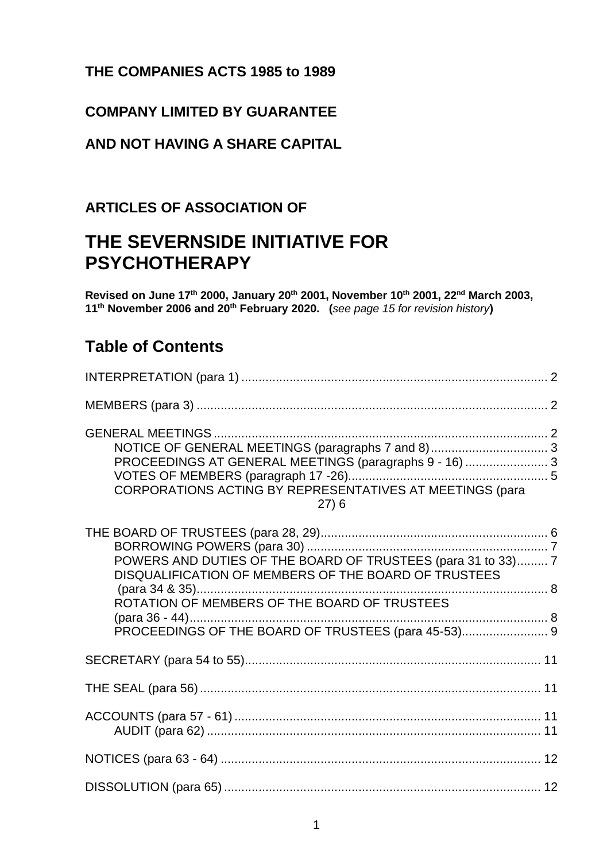# **THE COMPANIES ACTS 1985 to 1989**

## **COMPANY LIMITED BY GUARANTEE**

# **AND NOT HAVING A SHARE CAPITAL**

# **ARTICLES OF ASSOCIATION OF**

# **THE SEVERNSIDE INITIATIVE FOR PSYCHOTHERAPY**

**Revised on June 17th 2000, January 20th 2001, November 10th 2001, 22nd March 2003, 11th November 2006 and 20th February 2020. (***see page 15 for revision history***)**

# **Table of Contents**

| NOTICE OF GENERAL MEETINGS (paragraphs 7 and 8) 3<br>PROCEEDINGS AT GENERAL MEETINGS (paragraphs 9 - 16)  3<br>CORPORATIONS ACTING BY REPRESENTATIVES AT MEETINGS (para<br>27)6 |  |
|---------------------------------------------------------------------------------------------------------------------------------------------------------------------------------|--|
| POWERS AND DUTIES OF THE BOARD OF TRUSTEES (para 31 to 33) 7<br>DISQUALIFICATION OF MEMBERS OF THE BOARD OF TRUSTEES<br>ROTATION OF MEMBERS OF THE BOARD OF TRUSTEES            |  |
|                                                                                                                                                                                 |  |
|                                                                                                                                                                                 |  |
|                                                                                                                                                                                 |  |
|                                                                                                                                                                                 |  |
|                                                                                                                                                                                 |  |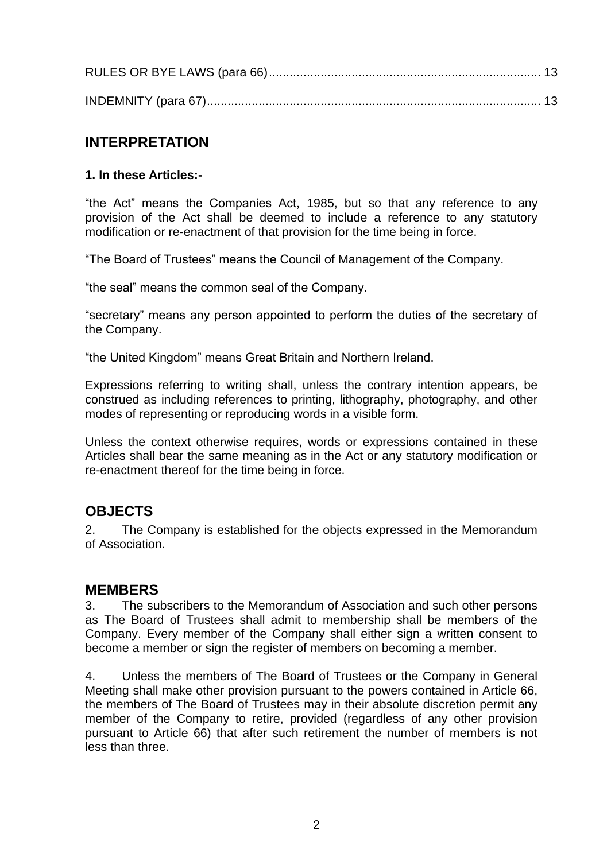### **INTERPRETATION**

#### **1. In these Articles:-**

"the Act" means the Companies Act, 1985, but so that any reference to any provision of the Act shall be deemed to include a reference to any statutory modification or re-enactment of that provision for the time being in force.

"The Board of Trustees" means the Council of Management of the Company.

"the seal" means the common seal of the Company.

"secretary" means any person appointed to perform the duties of the secretary of the Company.

"the United Kingdom" means Great Britain and Northern Ireland.

Expressions referring to writing shall, unless the contrary intention appears, be construed as including references to printing, lithography, photography, and other modes of representing or reproducing words in a visible form.

Unless the context otherwise requires, words or expressions contained in these Articles shall bear the same meaning as in the Act or any statutory modification or re-enactment thereof for the time being in force.

# **OBJECTS**

2. The Company is established for the objects expressed in the Memorandum of Association.

#### **MEMBERS**

3. The subscribers to the Memorandum of Association and such other persons as The Board of Trustees shall admit to membership shall be members of the Company. Every member of the Company shall either sign a written consent to become a member or sign the register of members on becoming a member.

4. Unless the members of The Board of Trustees or the Company in General Meeting shall make other provision pursuant to the powers contained in Article 66, the members of The Board of Trustees may in their absolute discretion permit any member of the Company to retire, provided (regardless of any other provision pursuant to Article 66) that after such retirement the number of members is not less than three.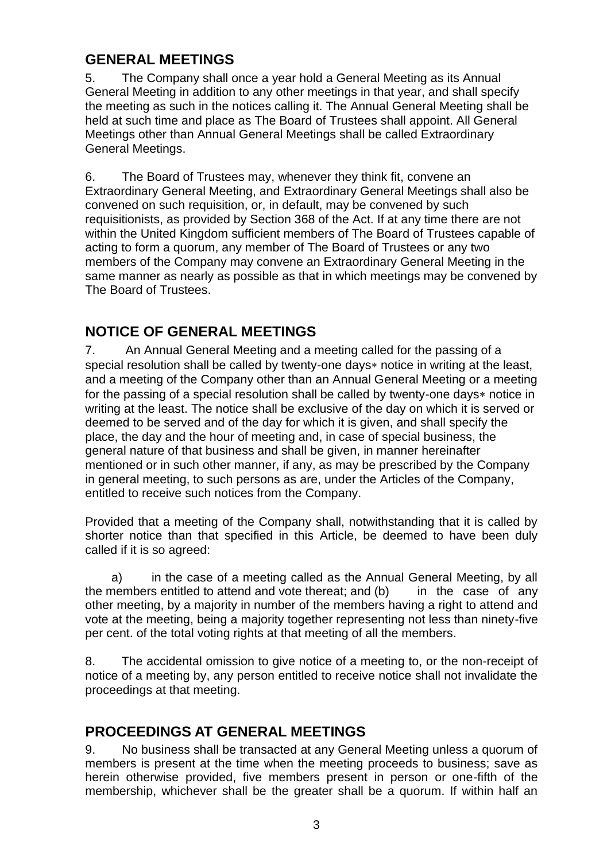## **GENERAL MEETINGS**

5. The Company shall once a year hold a General Meeting as its Annual General Meeting in addition to any other meetings in that year, and shall specify the meeting as such in the notices calling it. The Annual General Meeting shall be held at such time and place as The Board of Trustees shall appoint. All General Meetings other than Annual General Meetings shall be called Extraordinary General Meetings.

6. The Board of Trustees may, whenever they think fit, convene an Extraordinary General Meeting, and Extraordinary General Meetings shall also be convened on such requisition, or, in default, may be convened by such requisitionists, as provided by Section 368 of the Act. If at any time there are not within the United Kingdom sufficient members of The Board of Trustees capable of acting to form a quorum, any member of The Board of Trustees or any two members of the Company may convene an Extraordinary General Meeting in the same manner as nearly as possible as that in which meetings may be convened by The Board of Trustees.

# **NOTICE OF GENERAL MEETINGS**

7. An Annual General Meeting and a meeting called for the passing of a special resolution shall be called by twenty-one days\* notice in writing at the least, and a meeting of the Company other than an Annual General Meeting or a meeting for the passing of a special resolution shall be called by twenty-one days\* notice in writing at the least. The notice shall be exclusive of the day on which it is served or deemed to be served and of the day for which it is given, and shall specify the place, the day and the hour of meeting and, in case of special business, the general nature of that business and shall be given, in manner hereinafter mentioned or in such other manner, if any, as may be prescribed by the Company in general meeting, to such persons as are, under the Articles of the Company, entitled to receive such notices from the Company.

Provided that a meeting of the Company shall, notwithstanding that it is called by shorter notice than that specified in this Article, be deemed to have been duly called if it is so agreed:

a) in the case of a meeting called as the Annual General Meeting, by all the members entitled to attend and vote thereat; and  $(b)$  in the case of any other meeting, by a majority in number of the members having a right to attend and vote at the meeting, being a majority together representing not less than ninety-five per cent. of the total voting rights at that meeting of all the members.

8. The accidental omission to give notice of a meeting to, or the non-receipt of notice of a meeting by, any person entitled to receive notice shall not invalidate the proceedings at that meeting.

### **PROCEEDINGS AT GENERAL MEETINGS**

9. No business shall be transacted at any General Meeting unless a quorum of members is present at the time when the meeting proceeds to business; save as herein otherwise provided, five members present in person or one-fifth of the membership, whichever shall be the greater shall be a quorum. If within half an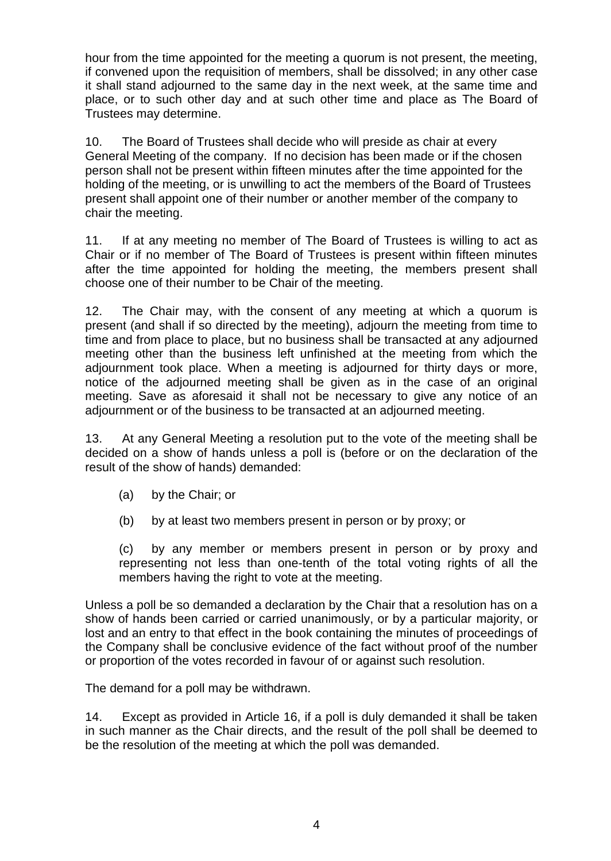hour from the time appointed for the meeting a quorum is not present, the meeting, if convened upon the requisition of members, shall be dissolved; in any other case it shall stand adjourned to the same day in the next week, at the same time and place, or to such other day and at such other time and place as The Board of Trustees may determine.

10. The Board of Trustees shall decide who will preside as chair at every General Meeting of the company. If no decision has been made or if the chosen person shall not be present within fifteen minutes after the time appointed for the holding of the meeting, or is unwilling to act the members of the Board of Trustees present shall appoint one of their number or another member of the company to chair the meeting.

11. If at any meeting no member of The Board of Trustees is willing to act as Chair or if no member of The Board of Trustees is present within fifteen minutes after the time appointed for holding the meeting, the members present shall choose one of their number to be Chair of the meeting.

12. The Chair may, with the consent of any meeting at which a quorum is present (and shall if so directed by the meeting), adjourn the meeting from time to time and from place to place, but no business shall be transacted at any adjourned meeting other than the business left unfinished at the meeting from which the adjournment took place. When a meeting is adjourned for thirty days or more, notice of the adjourned meeting shall be given as in the case of an original meeting. Save as aforesaid it shall not be necessary to give any notice of an adjournment or of the business to be transacted at an adjourned meeting.

13. At any General Meeting a resolution put to the vote of the meeting shall be decided on a show of hands unless a poll is (before or on the declaration of the result of the show of hands) demanded:

- (a) by the Chair; or
- (b) by at least two members present in person or by proxy; or

(c) by any member or members present in person or by proxy and representing not less than one-tenth of the total voting rights of all the members having the right to vote at the meeting.

Unless a poll be so demanded a declaration by the Chair that a resolution has on a show of hands been carried or carried unanimously, or by a particular majority, or lost and an entry to that effect in the book containing the minutes of proceedings of the Company shall be conclusive evidence of the fact without proof of the number or proportion of the votes recorded in favour of or against such resolution.

The demand for a poll may be withdrawn.

14. Except as provided in Article 16, if a poll is duly demanded it shall be taken in such manner as the Chair directs, and the result of the poll shall be deemed to be the resolution of the meeting at which the poll was demanded.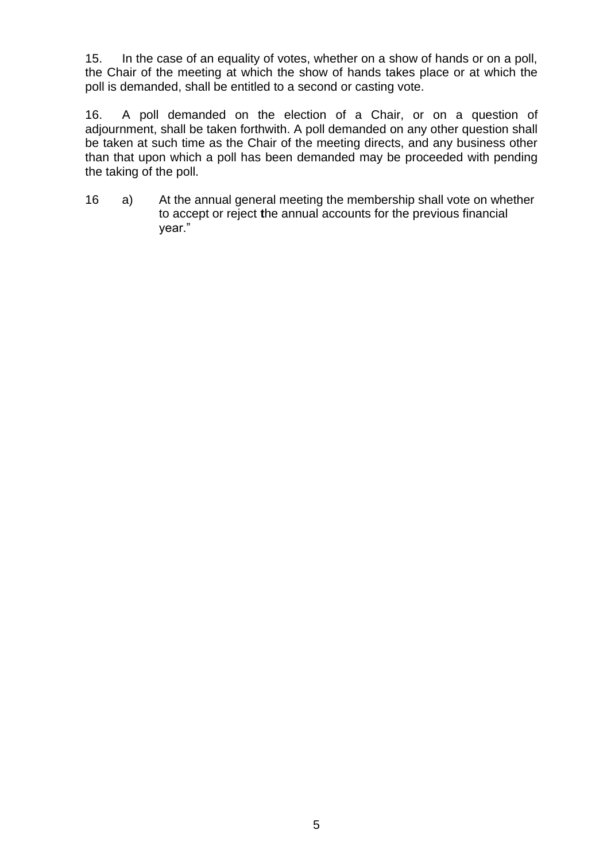15. In the case of an equality of votes, whether on a show of hands or on a poll, the Chair of the meeting at which the show of hands takes place or at which the poll is demanded, shall be entitled to a second or casting vote.

16. A poll demanded on the election of a Chair, or on a question of adjournment, shall be taken forthwith. A poll demanded on any other question shall be taken at such time as the Chair of the meeting directs, and any business other than that upon which a poll has been demanded may be proceeded with pending the taking of the poll.

16 a) At the annual general meeting the membership shall vote on whether to accept or reject **t**he annual accounts for the previous financial year."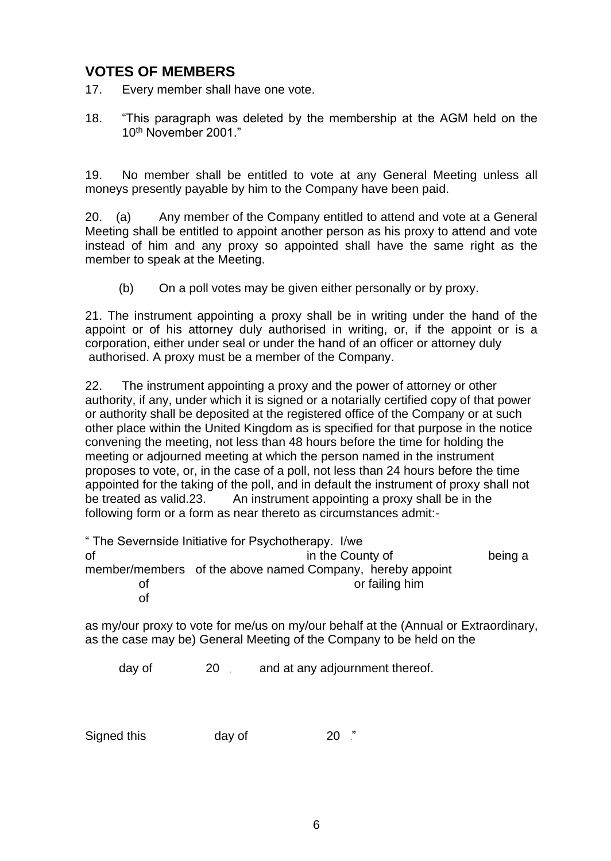#### **VOTES OF MEMBERS**

- 17. Every member shall have one vote.
- 18. "This paragraph was deleted by the membership at the AGM held on the 10th November 2001."

19. No member shall be entitled to vote at any General Meeting unless all moneys presently payable by him to the Company have been paid.

20. (a) Any member of the Company entitled to attend and vote at a General Meeting shall be entitled to appoint another person as his proxy to attend and vote instead of him and any proxy so appointed shall have the same right as the member to speak at the Meeting.

(b) On a poll votes may be given either personally or by proxy.

21. The instrument appointing a proxy shall be in writing under the hand of the appoint or of his attorney duly authorised in writing, or, if the appoint or is a corporation, either under seal or under the hand of an officer or attorney duly authorised. A proxy must be a member of the Company.

22. The instrument appointing a proxy and the power of attorney or other authority, if any, under which it is signed or a notarially certified copy of that power or authority shall be deposited at the registered office of the Company or at such other place within the United Kingdom as is specified for that purpose in the notice convening the meeting, not less than 48 hours before the time for holding the meeting or adjourned meeting at which the person named in the instrument proposes to vote, or, in the case of a poll, not less than 24 hours before the time appointed for the taking of the poll, and in default the instrument of proxy shall not be treated as valid.23. An instrument appointing a proxy shall be in the following form or a form as near thereto as circumstances admit:-

|    | " The Severnside Initiative for Psychotherapy. I/we       |         |
|----|-----------------------------------------------------------|---------|
| 0f | in the County of                                          | being a |
|    | member/members of the above named Company, hereby appoint |         |
| Ωt | or failing him                                            |         |
| ∩f |                                                           |         |

as my/our proxy to vote for me/us on my/our behalf at the (Annual or Extraordinary, as the case may be) General Meeting of the Company to be held on the

day of 20 and at any adjournment thereof.

Signed this day of 20 **.**"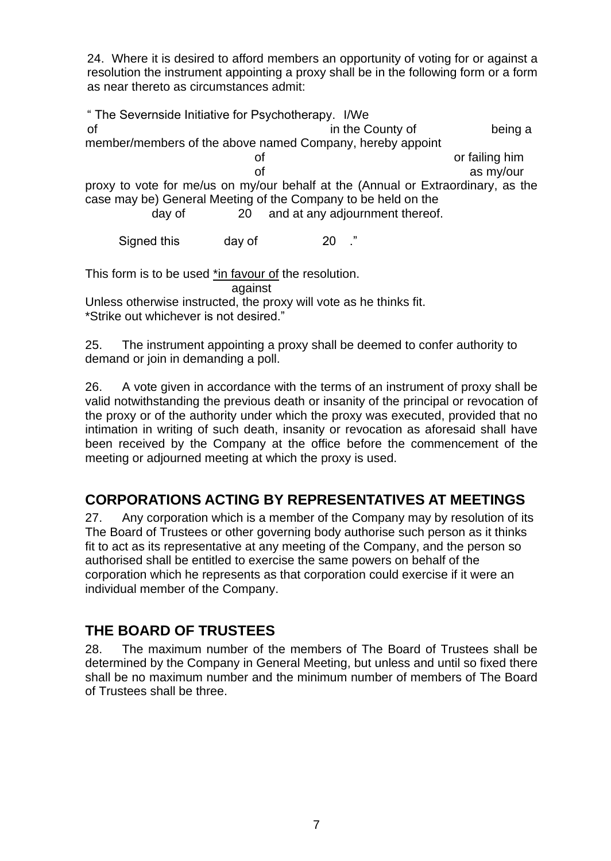24. Where it is desired to afford members an opportunity of voting for or against a resolution the instrument appointing a proxy shall be in the following form or a form as near thereto as circumstances admit:

" The Severnside Initiative for Psychotherapy. I/We of the County of the County of the County of the Leonard Being a member/members of the above named Company, hereby appoint of or failing him of as my/our proxy to vote for me/us on my/our behalf at the (Annual or Extraordinary, as the case may be) General Meeting of the Company to be held on the day of 20 and at any adjournment thereof.

Signed this day of 20 ."

This form is to be used \*in favour of the resolution.

against

Unless otherwise instructed, the proxy will vote as he thinks fit. \*Strike out whichever is not desired."

25. The instrument appointing a proxy shall be deemed to confer authority to demand or join in demanding a poll.

26. A vote given in accordance with the terms of an instrument of proxy shall be valid notwithstanding the previous death or insanity of the principal or revocation of the proxy or of the authority under which the proxy was executed, provided that no intimation in writing of such death, insanity or revocation as aforesaid shall have been received by the Company at the office before the commencement of the meeting or adjourned meeting at which the proxy is used.

# **CORPORATIONS ACTING BY REPRESENTATIVES AT MEETINGS**

27. Any corporation which is a member of the Company may by resolution of its The Board of Trustees or other governing body authorise such person as it thinks fit to act as its representative at any meeting of the Company, and the person so authorised shall be entitled to exercise the same powers on behalf of the corporation which he represents as that corporation could exercise if it were an individual member of the Company.

# **THE BOARD OF TRUSTEES**

28. The maximum number of the members of The Board of Trustees shall be determined by the Company in General Meeting, but unless and until so fixed there shall be no maximum number and the minimum number of members of The Board of Trustees shall be three.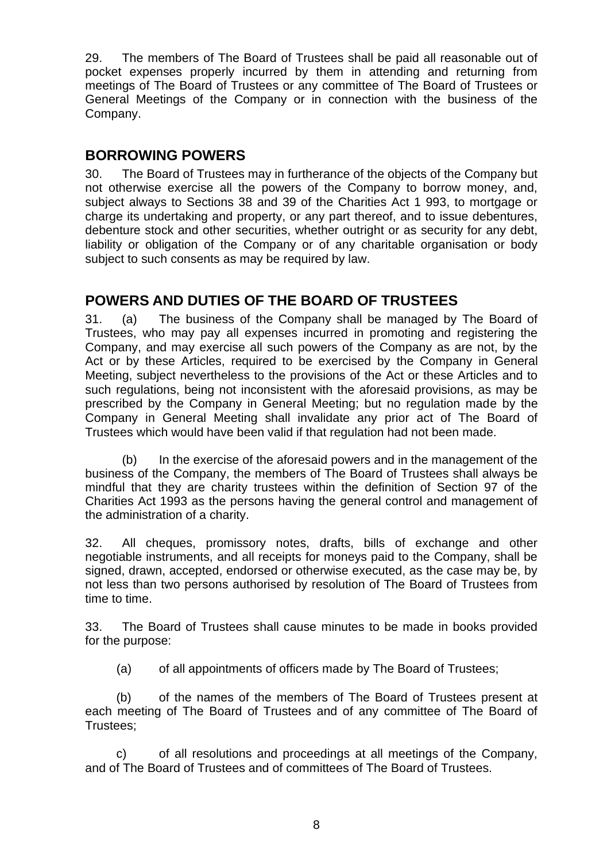29. The members of The Board of Trustees shall be paid all reasonable out of pocket expenses properly incurred by them in attending and returning from meetings of The Board of Trustees or any committee of The Board of Trustees or General Meetings of the Company or in connection with the business of the Company.

#### **BORROWING POWERS**

30. The Board of Trustees may in furtherance of the objects of the Company but not otherwise exercise all the powers of the Company to borrow money, and, subject always to Sections 38 and 39 of the Charities Act 1 993, to mortgage or charge its undertaking and property, or any part thereof, and to issue debentures, debenture stock and other securities, whether outright or as security for any debt, liability or obligation of the Company or of any charitable organisation or body subject to such consents as may be required by law.

# **POWERS AND DUTIES OF THE BOARD OF TRUSTEES**

31. (a) The business of the Company shall be managed by The Board of Trustees, who may pay all expenses incurred in promoting and registering the Company, and may exercise all such powers of the Company as are not, by the Act or by these Articles, required to be exercised by the Company in General Meeting, subject nevertheless to the provisions of the Act or these Articles and to such regulations, being not inconsistent with the aforesaid provisions, as may be prescribed by the Company in General Meeting; but no regulation made by the Company in General Meeting shall invalidate any prior act of The Board of Trustees which would have been valid if that regulation had not been made.

(b) In the exercise of the aforesaid powers and in the management of the business of the Company, the members of The Board of Trustees shall always be mindful that they are charity trustees within the definition of Section 97 of the Charities Act 1993 as the persons having the general control and management of the administration of a charity.

32. All cheques, promissory notes, drafts, bills of exchange and other negotiable instruments, and all receipts for moneys paid to the Company, shall be signed, drawn, accepted, endorsed or otherwise executed, as the case may be, by not less than two persons authorised by resolution of The Board of Trustees from time to time.

33. The Board of Trustees shall cause minutes to be made in books provided for the purpose:

(a) of all appointments of officers made by The Board of Trustees;

(b) of the names of the members of The Board of Trustees present at each meeting of The Board of Trustees and of any committee of The Board of Trustees;

c) of all resolutions and proceedings at all meetings of the Company, and of The Board of Trustees and of committees of The Board of Trustees.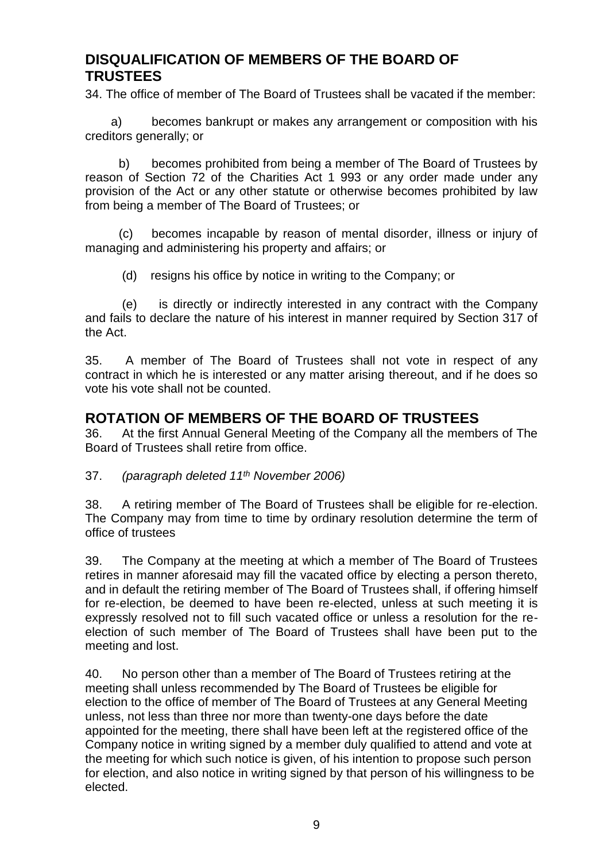#### **DISQUALIFICATION OF MEMBERS OF THE BOARD OF TRUSTEES**

34. The office of member of The Board of Trustees shall be vacated if the member:

a) becomes bankrupt or makes any arrangement or composition with his creditors generally; or

b) becomes prohibited from being a member of The Board of Trustees by reason of Section 72 of the Charities Act 1 993 or any order made under any provision of the Act or any other statute or otherwise becomes prohibited by law from being a member of The Board of Trustees; or

(c) becomes incapable by reason of mental disorder, illness or injury of managing and administering his property and affairs; or

(d) resigns his office by notice in writing to the Company; or

(e) is directly or indirectly interested in any contract with the Company and fails to declare the nature of his interest in manner required by Section 317 of the Act.

35. A member of The Board of Trustees shall not vote in respect of any contract in which he is interested or any matter arising thereout, and if he does so vote his vote shall not be counted.

#### **ROTATION OF MEMBERS OF THE BOARD OF TRUSTEES**

36. At the first Annual General Meeting of the Company all the members of The Board of Trustees shall retire from office.

37. *(paragraph deleted 11th November 2006)*

38. A retiring member of The Board of Trustees shall be eligible for re-election. The Company may from time to time by ordinary resolution determine the term of office of trustees

39. The Company at the meeting at which a member of The Board of Trustees retires in manner aforesaid may fill the vacated office by electing a person thereto, and in default the retiring member of The Board of Trustees shall, if offering himself for re-election, be deemed to have been re-elected, unless at such meeting it is expressly resolved not to fill such vacated office or unless a resolution for the reelection of such member of The Board of Trustees shall have been put to the meeting and lost.

40. No person other than a member of The Board of Trustees retiring at the meeting shall unless recommended by The Board of Trustees be eligible for election to the office of member of The Board of Trustees at any General Meeting unless, not less than three nor more than twenty-one days before the date appointed for the meeting, there shall have been left at the registered office of the Company notice in writing signed by a member duly qualified to attend and vote at the meeting for which such notice is given, of his intention to propose such person for election, and also notice in writing signed by that person of his willingness to be elected.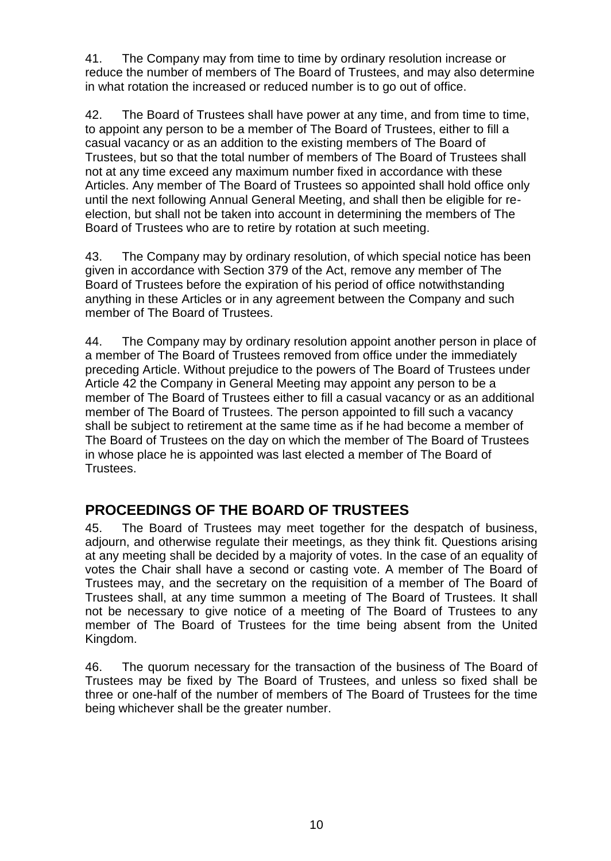41. The Company may from time to time by ordinary resolution increase or reduce the number of members of The Board of Trustees, and may also determine in what rotation the increased or reduced number is to go out of office.

42. The Board of Trustees shall have power at any time, and from time to time, to appoint any person to be a member of The Board of Trustees, either to fill a casual vacancy or as an addition to the existing members of The Board of Trustees, but so that the total number of members of The Board of Trustees shall not at any time exceed any maximum number fixed in accordance with these Articles. Any member of The Board of Trustees so appointed shall hold office only until the next following Annual General Meeting, and shall then be eligible for reelection, but shall not be taken into account in determining the members of The Board of Trustees who are to retire by rotation at such meeting.

43. The Company may by ordinary resolution, of which special notice has been given in accordance with Section 379 of the Act, remove any member of The Board of Trustees before the expiration of his period of office notwithstanding anything in these Articles or in any agreement between the Company and such member of The Board of Trustees.

44. The Company may by ordinary resolution appoint another person in place of a member of The Board of Trustees removed from office under the immediately preceding Article. Without prejudice to the powers of The Board of Trustees under Article 42 the Company in General Meeting may appoint any person to be a member of The Board of Trustees either to fill a casual vacancy or as an additional member of The Board of Trustees. The person appointed to fill such a vacancy shall be subject to retirement at the same time as if he had become a member of The Board of Trustees on the day on which the member of The Board of Trustees in whose place he is appointed was last elected a member of The Board of Trustees.

# **PROCEEDINGS OF THE BOARD OF TRUSTEES**

45. The Board of Trustees may meet together for the despatch of business, adjourn, and otherwise regulate their meetings, as they think fit. Questions arising at any meeting shall be decided by a majority of votes. In the case of an equality of votes the Chair shall have a second or casting vote. A member of The Board of Trustees may, and the secretary on the requisition of a member of The Board of Trustees shall, at any time summon a meeting of The Board of Trustees. It shall not be necessary to give notice of a meeting of The Board of Trustees to any member of The Board of Trustees for the time being absent from the United Kingdom.

46. The quorum necessary for the transaction of the business of The Board of Trustees may be fixed by The Board of Trustees, and unless so fixed shall be three or one-half of the number of members of The Board of Trustees for the time being whichever shall be the greater number.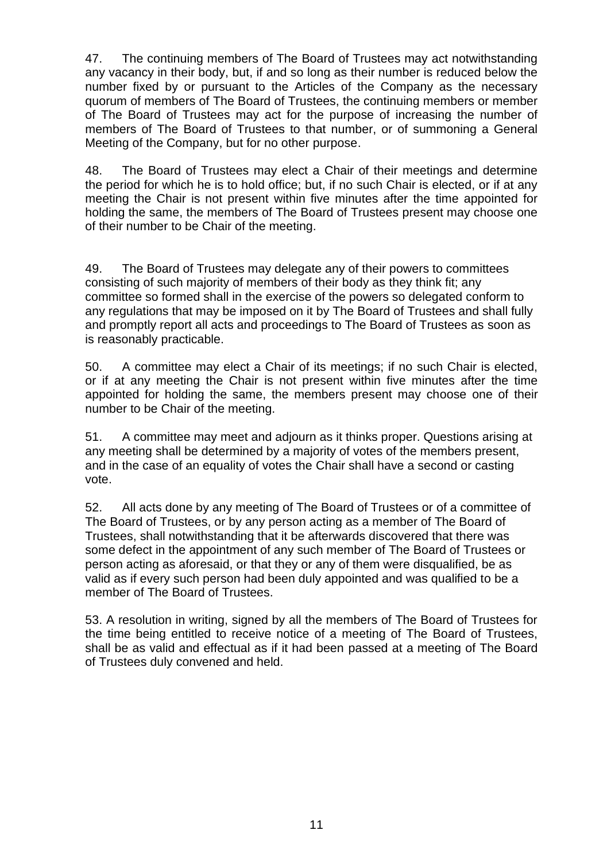47. The continuing members of The Board of Trustees may act notwithstanding any vacancy in their body, but, if and so long as their number is reduced below the number fixed by or pursuant to the Articles of the Company as the necessary quorum of members of The Board of Trustees, the continuing members or member of The Board of Trustees may act for the purpose of increasing the number of members of The Board of Trustees to that number, or of summoning a General Meeting of the Company, but for no other purpose.

48. The Board of Trustees may elect a Chair of their meetings and determine the period for which he is to hold office; but, if no such Chair is elected, or if at any meeting the Chair is not present within five minutes after the time appointed for holding the same, the members of The Board of Trustees present may choose one of their number to be Chair of the meeting.

49. The Board of Trustees may delegate any of their powers to committees consisting of such majority of members of their body as they think fit; any committee so formed shall in the exercise of the powers so delegated conform to any regulations that may be imposed on it by The Board of Trustees and shall fully and promptly report all acts and proceedings to The Board of Trustees as soon as is reasonably practicable.

50. A committee may elect a Chair of its meetings; if no such Chair is elected, or if at any meeting the Chair is not present within five minutes after the time appointed for holding the same, the members present may choose one of their number to be Chair of the meeting.

51. A committee may meet and adjourn as it thinks proper. Questions arising at any meeting shall be determined by a majority of votes of the members present, and in the case of an equality of votes the Chair shall have a second or casting vote.

52. All acts done by any meeting of The Board of Trustees or of a committee of The Board of Trustees, or by any person acting as a member of The Board of Trustees, shall notwithstanding that it be afterwards discovered that there was some defect in the appointment of any such member of The Board of Trustees or person acting as aforesaid, or that they or any of them were disqualified, be as valid as if every such person had been duly appointed and was qualified to be a member of The Board of Trustees.

53. A resolution in writing, signed by all the members of The Board of Trustees for the time being entitled to receive notice of a meeting of The Board of Trustees, shall be as valid and effectual as if it had been passed at a meeting of The Board of Trustees duly convened and held.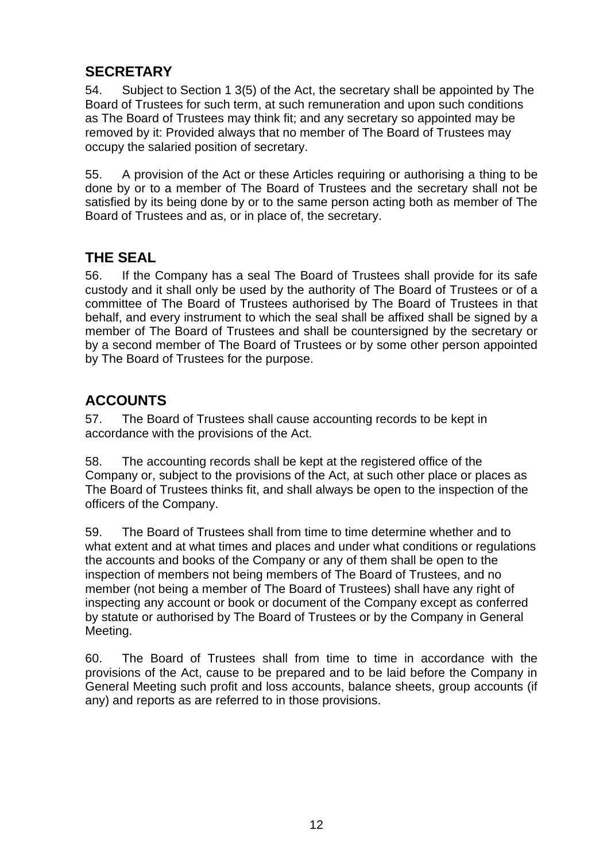# **SECRETARY**

54. Subject to Section 1 3(5) of the Act, the secretary shall be appointed by The Board of Trustees for such term, at such remuneration and upon such conditions as The Board of Trustees may think fit; and any secretary so appointed may be removed by it: Provided always that no member of The Board of Trustees may occupy the salaried position of secretary.

55. A provision of the Act or these Articles requiring or authorising a thing to be done by or to a member of The Board of Trustees and the secretary shall not be satisfied by its being done by or to the same person acting both as member of The Board of Trustees and as, or in place of, the secretary.

# **THE SEAL**

56. If the Company has a seal The Board of Trustees shall provide for its safe custody and it shall only be used by the authority of The Board of Trustees or of a committee of The Board of Trustees authorised by The Board of Trustees in that behalf, and every instrument to which the seal shall be affixed shall be signed by a member of The Board of Trustees and shall be countersigned by the secretary or by a second member of The Board of Trustees or by some other person appointed by The Board of Trustees for the purpose.

# **ACCOUNTS**

57. The Board of Trustees shall cause accounting records to be kept in accordance with the provisions of the Act.

58. The accounting records shall be kept at the registered office of the Company or, subject to the provisions of the Act, at such other place or places as The Board of Trustees thinks fit, and shall always be open to the inspection of the officers of the Company.

59. The Board of Trustees shall from time to time determine whether and to what extent and at what times and places and under what conditions or regulations the accounts and books of the Company or any of them shall be open to the inspection of members not being members of The Board of Trustees, and no member (not being a member of The Board of Trustees) shall have any right of inspecting any account or book or document of the Company except as conferred by statute or authorised by The Board of Trustees or by the Company in General Meeting.

60. The Board of Trustees shall from time to time in accordance with the provisions of the Act, cause to be prepared and to be laid before the Company in General Meeting such profit and loss accounts, balance sheets, group accounts (if any) and reports as are referred to in those provisions.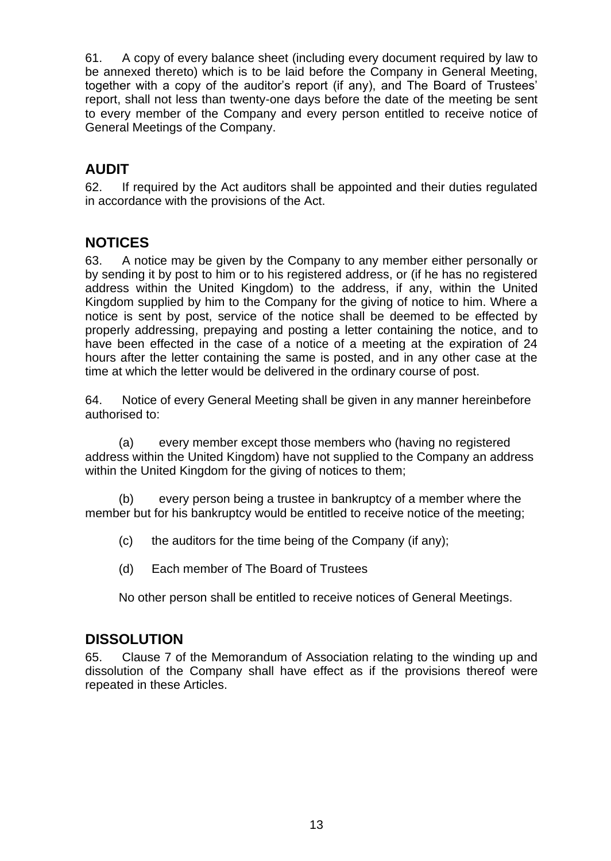61. A copy of every balance sheet (including every document required by law to be annexed thereto) which is to be laid before the Company in General Meeting, together with a copy of the auditor's report (if any), and The Board of Trustees' report, shall not less than twenty-one days before the date of the meeting be sent to every member of the Company and every person entitled to receive notice of General Meetings of the Company.

# **AUDIT**

62. If required by the Act auditors shall be appointed and their duties regulated in accordance with the provisions of the Act.

### **NOTICES**

63. A notice may be given by the Company to any member either personally or by sending it by post to him or to his registered address, or (if he has no registered address within the United Kingdom) to the address, if any, within the United Kingdom supplied by him to the Company for the giving of notice to him. Where a notice is sent by post, service of the notice shall be deemed to be effected by properly addressing, prepaying and posting a letter containing the notice, and to have been effected in the case of a notice of a meeting at the expiration of 24 hours after the letter containing the same is posted, and in any other case at the time at which the letter would be delivered in the ordinary course of post.

64. Notice of every General Meeting shall be given in any manner hereinbefore authorised to:

(a) every member except those members who (having no registered address within the United Kingdom) have not supplied to the Company an address within the United Kingdom for the giving of notices to them;

(b) every person being a trustee in bankruptcy of a member where the member but for his bankruptcy would be entitled to receive notice of the meeting;

- (c) the auditors for the time being of the Company (if any);
- (d) Each member of The Board of Trustees

No other person shall be entitled to receive notices of General Meetings.

#### **DISSOLUTION**

65. Clause 7 of the Memorandum of Association relating to the winding up and dissolution of the Company shall have effect as if the provisions thereof were repeated in these Articles.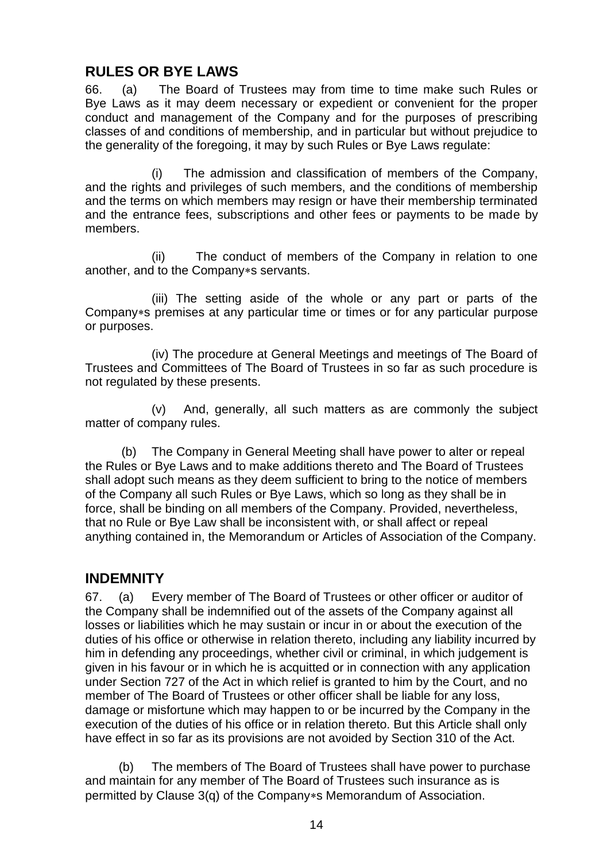### **RULES OR BYE LAWS**

66. (a) The Board of Trustees may from time to time make such Rules or Bye Laws as it may deem necessary or expedient or convenient for the proper conduct and management of the Company and for the purposes of prescribing classes of and conditions of membership, and in particular but without prejudice to the generality of the foregoing, it may by such Rules or Bye Laws regulate:

(i) The admission and classification of members of the Company, and the rights and privileges of such members, and the conditions of membership and the terms on which members may resign or have their membership terminated and the entrance fees, subscriptions and other fees or payments to be made by members.

(ii) The conduct of members of the Company in relation to one another, and to the Company\*s servants.

(iii) The setting aside of the whole or any part or parts of the Companys premises at any particular time or times or for any particular purpose or purposes.

(iv) The procedure at General Meetings and meetings of The Board of Trustees and Committees of The Board of Trustees in so far as such procedure is not regulated by these presents.

(v) And, generally, all such matters as are commonly the subject matter of company rules.

(b) The Company in General Meeting shall have power to alter or repeal the Rules or Bye Laws and to make additions thereto and The Board of Trustees shall adopt such means as they deem sufficient to bring to the notice of members of the Company all such Rules or Bye Laws, which so long as they shall be in force, shall be binding on all members of the Company. Provided, nevertheless, that no Rule or Bye Law shall be inconsistent with, or shall affect or repeal anything contained in, the Memorandum or Articles of Association of the Company.

#### **INDEMNITY**

67. (a) Every member of The Board of Trustees or other officer or auditor of the Company shall be indemnified out of the assets of the Company against all losses or liabilities which he may sustain or incur in or about the execution of the duties of his office or otherwise in relation thereto, including any liability incurred by him in defending any proceedings, whether civil or criminal, in which judgement is given in his favour or in which he is acquitted or in connection with any application under Section 727 of the Act in which relief is granted to him by the Court, and no member of The Board of Trustees or other officer shall be liable for any loss, damage or misfortune which may happen to or be incurred by the Company in the execution of the duties of his office or in relation thereto. But this Article shall only have effect in so far as its provisions are not avoided by Section 310 of the Act.

(b) The members of The Board of Trustees shall have power to purchase and maintain for any member of The Board of Trustees such insurance as is permitted by Clause 3(q) of the Companys Memorandum of Association.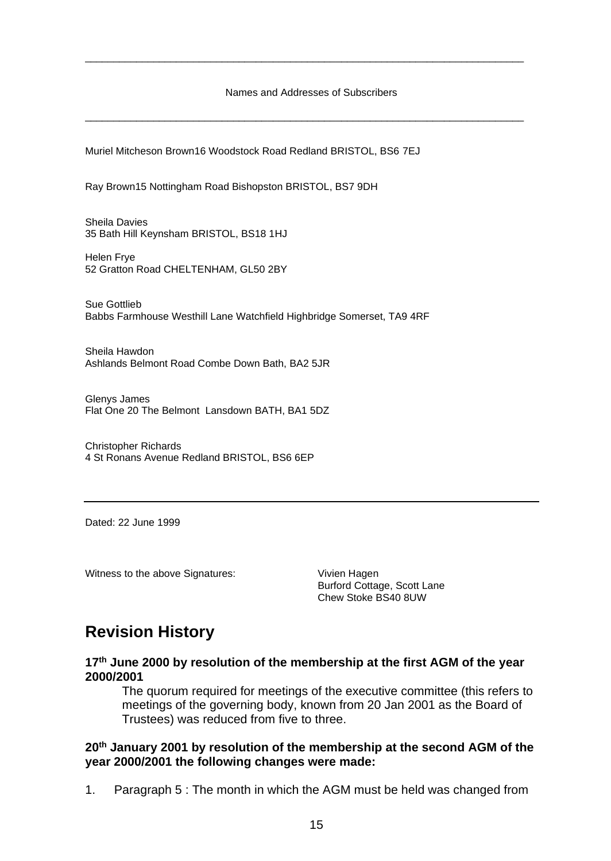\_\_\_\_\_\_\_\_\_\_\_\_\_\_\_\_\_\_\_\_\_\_\_\_\_\_\_\_\_\_\_\_\_\_\_\_\_\_\_\_\_\_\_\_\_\_\_\_\_\_\_\_\_\_\_\_\_\_\_\_\_\_\_\_\_\_\_\_\_\_\_\_\_\_\_\_\_

\_\_\_\_\_\_\_\_\_\_\_\_\_\_\_\_\_\_\_\_\_\_\_\_\_\_\_\_\_\_\_\_\_\_\_\_\_\_\_\_\_\_\_\_\_\_\_\_\_\_\_\_\_\_\_\_\_\_\_\_\_\_\_\_\_\_\_\_\_\_\_\_\_\_\_\_\_

Muriel Mitcheson Brown16 Woodstock Road Redland BRISTOL, BS6 7EJ

Ray Brown15 Nottingham Road Bishopston BRISTOL, BS7 9DH

Sheila Davies 35 Bath Hill Keynsham BRISTOL, BS18 1HJ

Helen Frye 52 Gratton Road CHELTENHAM, GL50 2BY

Sue Gottlieb Babbs Farmhouse Westhill Lane Watchfield Highbridge Somerset, TA9 4RF

Sheila Hawdon Ashlands Belmont Road Combe Down Bath, BA2 5JR

Glenys James Flat One 20 The Belmont Lansdown BATH, BA1 5DZ

Christopher Richards 4 St Ronans Avenue Redland BRISTOL, BS6 6EP

Dated: 22 June 1999

Witness to the above Signatures: Vivien Hagen

Burford Cottage, Scott Lane Chew Stoke BS40 8UW

# **Revision History**

#### **17th June 2000 by resolution of the membership at the first AGM of the year 2000/2001**

The quorum required for meetings of the executive committee (this refers to meetings of the governing body, known from 20 Jan 2001 as the Board of Trustees) was reduced from five to three.

#### **20th January 2001 by resolution of the membership at the second AGM of the year 2000/2001 the following changes were made:**

1. Paragraph 5 : The month in which the AGM must be held was changed from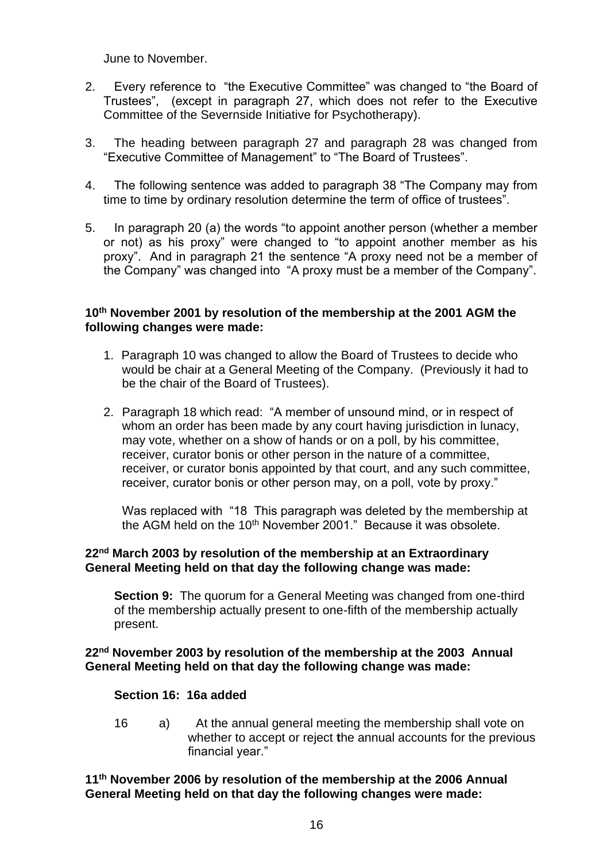June to November.

- 2. Every reference to "the Executive Committee" was changed to "the Board of Trustees", (except in paragraph 27, which does not refer to the Executive Committee of the Severnside Initiative for Psychotherapy).
- 3. The heading between paragraph 27 and paragraph 28 was changed from "Executive Committee of Management" to "The Board of Trustees".
- 4. The following sentence was added to paragraph 38 "The Company may from time to time by ordinary resolution determine the term of office of trustees".
- 5. In paragraph 20 (a) the words "to appoint another person (whether a member or not) as his proxy" were changed to "to appoint another member as his proxy". And in paragraph 21 the sentence "A proxy need not be a member of the Company" was changed into "A proxy must be a member of the Company".

#### **10th November 2001 by resolution of the membership at the 2001 AGM the following changes were made:**

- 1. Paragraph 10 was changed to allow the Board of Trustees to decide who would be chair at a General Meeting of the Company. (Previously it had to be the chair of the Board of Trustees).
- 2. Paragraph 18 which read: "A member of unsound mind, or in respect of whom an order has been made by any court having jurisdiction in lunacy, may vote, whether on a show of hands or on a poll, by his committee, receiver, curator bonis or other person in the nature of a committee, receiver, or curator bonis appointed by that court, and any such committee, receiver, curator bonis or other person may, on a poll, vote by proxy."

Was replaced with "18 This paragraph was deleted by the membership at the AGM held on the 10th November 2001." Because it was obsolete.

#### **22nd March 2003 by resolution of the membership at an Extraordinary General Meeting held on that day the following change was made:**

**Section 9:** The quorum for a General Meeting was changed from one-third of the membership actually present to one-fifth of the membership actually present.

#### **22nd November 2003 by resolution of the membership at the 2003 Annual General Meeting held on that day the following change was made:**

#### **Section 16: 16a added**

16 a) At the annual general meeting the membership shall vote on whether to accept or reject **t**he annual accounts for the previous financial year."

#### **11th November 2006 by resolution of the membership at the 2006 Annual General Meeting held on that day the following changes were made:**